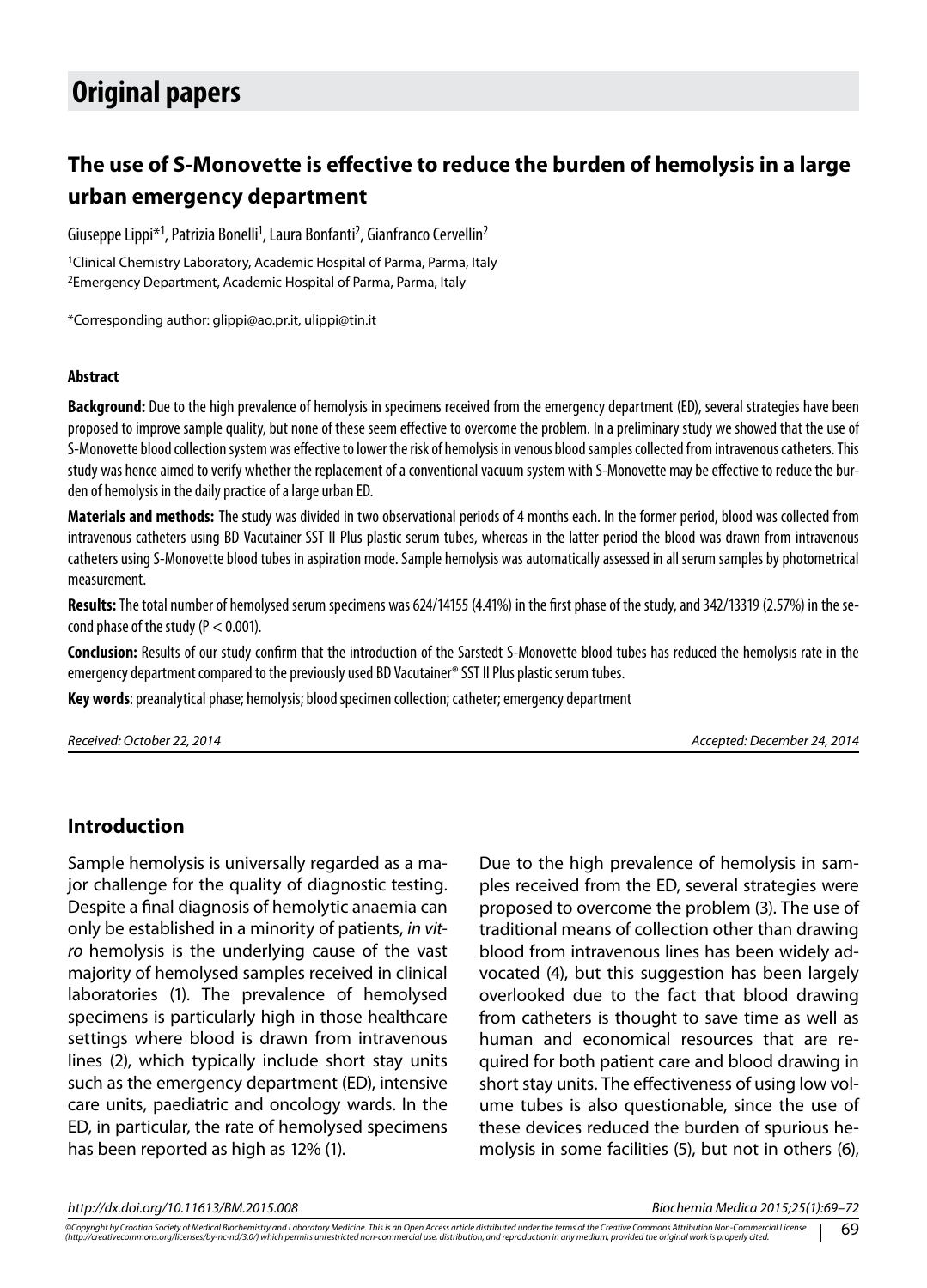# **Original papers**

## **The use of S-Monovette is effective to reduce the burden of hemolysis in a large urban emergency department**

Giuseppe Lippi\*<sup>1</sup>, Patrizia Bonelli<sup>1</sup>, Laura Bonfanti<sup>2</sup>, Gianfranco Cervellin<sup>2</sup>

<sup>1</sup>Clinical Chemistry Laboratory, Academic Hospital of Parma, Parma, Italy 2Emergency Department, Academic Hospital of Parma, Parma, Italy

\*Corresponding author: glippi@ao.pr.it, ulippi@tin.it

#### **Abstract**

**Background:** Due to the high prevalence of hemolysis in specimens received from the emergency department (ED), several strategies have been proposed to improve sample quality, but none of these seem effective to overcome the problem. In a preliminary study we showed that the use of S-Monovette blood collection system was effective to lower the risk of hemolysis in venous blood samples collected from intravenous catheters. This study was hence aimed to verify whether the replacement of a conventional vacuum system with S-Monovette may be effective to reduce the burden of hemolysis in the daily practice of a large urban ED.

**Materials and methods:** The study was divided in two observational periods of 4 months each. In the former period, blood was collected from intravenous catheters using BD Vacutainer SST II Plus plastic serum tubes, whereas in the latter period the blood was drawn from intravenous catheters using S-Monovette blood tubes in aspiration mode. Sample hemolysis was automatically assessed in all serum samples by photometrical measurement.

**Results:** The total number of hemolysed serum specimens was 624/14155 (4.41%) in the first phase of the study, and 342/13319 (2.57%) in the second phase of the study ( $P < 0.001$ ).

**Conclusion:** Results of our study confirm that the introduction of the Sarstedt S-Monovette blood tubes has reduced the hemolysis rate in the emergency department compared to the previously used BD Vacutainer® SST II Plus plastic serum tubes.

**Key words**: preanalytical phase; hemolysis; blood specimen collection; catheter; emergency department

*Received: October 22, 2014 Accepted: December 24, 2014*

#### **Introduction**

Sample hemolysis is universally regarded as a major challenge for the quality of diagnostic testing. Despite a final diagnosis of hemolytic anaemia can only be established in a minority of patients, *in vitro* hemolysis is the underlying cause of the vast majority of hemolysed samples received in clinical laboratories (1). The prevalence of hemolysed specimens is particularly high in those healthcare settings where blood is drawn from intravenous lines (2), which typically include short stay units such as the emergency department (ED), intensive care units, paediatric and oncology wards. In the ED, in particular, the rate of hemolysed specimens has been reported as high as 12% (1).

Due to the high prevalence of hemolysis in samples received from the ED, several strategies were proposed to overcome the problem (3). The use of traditional means of collection other than drawing blood from intravenous lines has been widely advocated (4), but this suggestion has been largely overlooked due to the fact that blood drawing from catheters is thought to save time as well as human and economical resources that are required for both patient care and blood drawing in short stay units. The effectiveness of using low volume tubes is also questionable, since the use of these devices reduced the burden of spurious hemolysis in some facilities (5), but not in others (6),

*http://dx.doi.org/10.11613/BM.2015.008 Biochemia Medica 2015;25(1):69–72*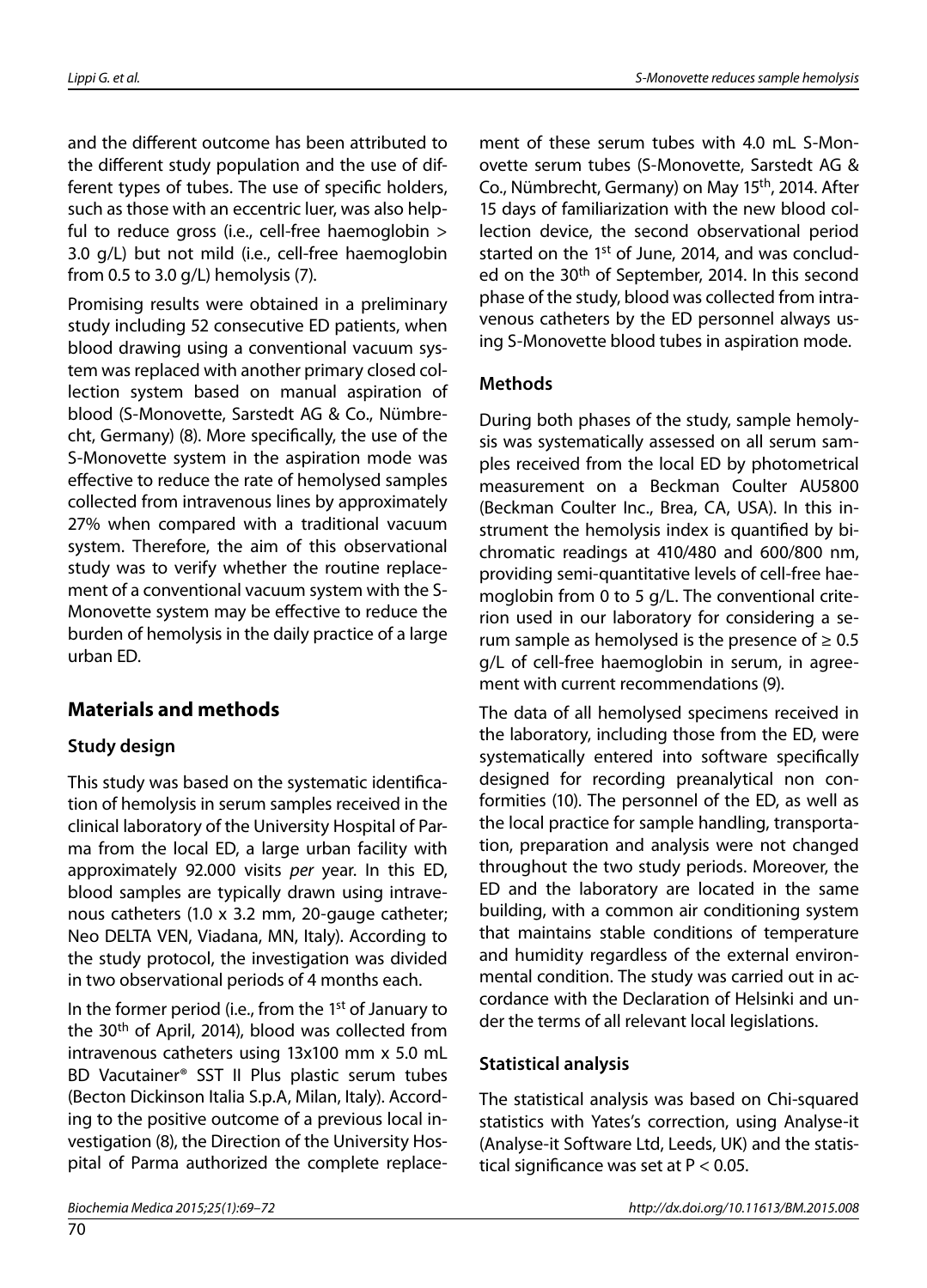and the different outcome has been attributed to the different study population and the use of different types of tubes. The use of specific holders, such as those with an eccentric luer, was also helpful to reduce gross (i.e., cell-free haemoglobin > 3.0 g/L) but not mild (i.e., cell-free haemoglobin from 0.5 to 3.0 g/L) hemolysis (7).

Promising results were obtained in a preliminary study including 52 consecutive ED patients, when blood drawing using a conventional vacuum system was replaced with another primary closed collection system based on manual aspiration of blood (S-Monovette, Sarstedt AG & Co., Nümbrecht, Germany) (8). More specifically, the use of the S-Monovette system in the aspiration mode was effective to reduce the rate of hemolysed samples collected from intravenous lines by approximately 27% when compared with a traditional vacuum system. Therefore, the aim of this observational study was to verify whether the routine replacement of a conventional vacuum system with the S-Monovette system may be effective to reduce the burden of hemolysis in the daily practice of a large urban ED.

## **Materials and methods**

#### **Study design**

This study was based on the systematic identification of hemolysis in serum samples received in the clinical laboratory of the University Hospital of Parma from the local ED, a large urban facility with approximately 92.000 visits *per* year. In this ED, blood samples are typically drawn using intravenous catheters (1.0 x 3.2 mm, 20-gauge catheter; Neo DELTA VEN, Viadana, MN, Italy). According to the study protocol, the investigation was divided in two observational periods of 4 months each.

In the former period (i.e., from the  $1<sup>st</sup>$  of January to the 30<sup>th</sup> of April, 2014), blood was collected from intravenous catheters using 13x100 mm x 5.0 mL BD Vacutainer® SST II Plus plastic serum tubes (Becton Dickinson Italia S.p.A, Milan, Italy). According to the positive outcome of a previous local investigation (8), the Direction of the University Hospital of Parma authorized the complete replacement of these serum tubes with 4.0 mL S-Monovette serum tubes (S-Monovette, Sarstedt AG & Co., Nümbrecht, Germany) on May 15th, 2014. After 15 days of familiarization with the new blood collection device, the second observational period started on the 1<sup>st</sup> of June, 2014, and was concluded on the 30<sup>th</sup> of September, 2014. In this second phase of the study, blood was collected from intravenous catheters by the ED personnel always using S-Monovette blood tubes in aspiration mode.

#### **Methods**

During both phases of the study, sample hemolysis was systematically assessed on all serum samples received from the local ED by photometrical measurement on a Beckman Coulter AU5800 (Beckman Coulter Inc., Brea, CA, USA). In this instrument the hemolysis index is quantified by bichromatic readings at 410/480 and 600/800 nm, providing semi-quantitative levels of cell-free haemoglobin from 0 to 5 g/L. The conventional criterion used in our laboratory for considering a serum sample as hemolysed is the presence of  $\geq 0.5$ g/L of cell-free haemoglobin in serum, in agreement with current recommendations (9).

The data of all hemolysed specimens received in the laboratory, including those from the ED, were systematically entered into software specifically designed for recording preanalytical non conformities (10). The personnel of the ED, as well as the local practice for sample handling, transportation, preparation and analysis were not changed throughout the two study periods. Moreover, the ED and the laboratory are located in the same building, with a common air conditioning system that maintains stable conditions of temperature and humidity regardless of the external environmental condition. The study was carried out in accordance with the Declaration of Helsinki and under the terms of all relevant local legislations.

#### **Statistical analysis**

The statistical analysis was based on Chi-squared statistics with Yates's correction, using Analyse-it (Analyse-it Software Ltd, Leeds, UK) and the statistical significance was set at P < 0.05.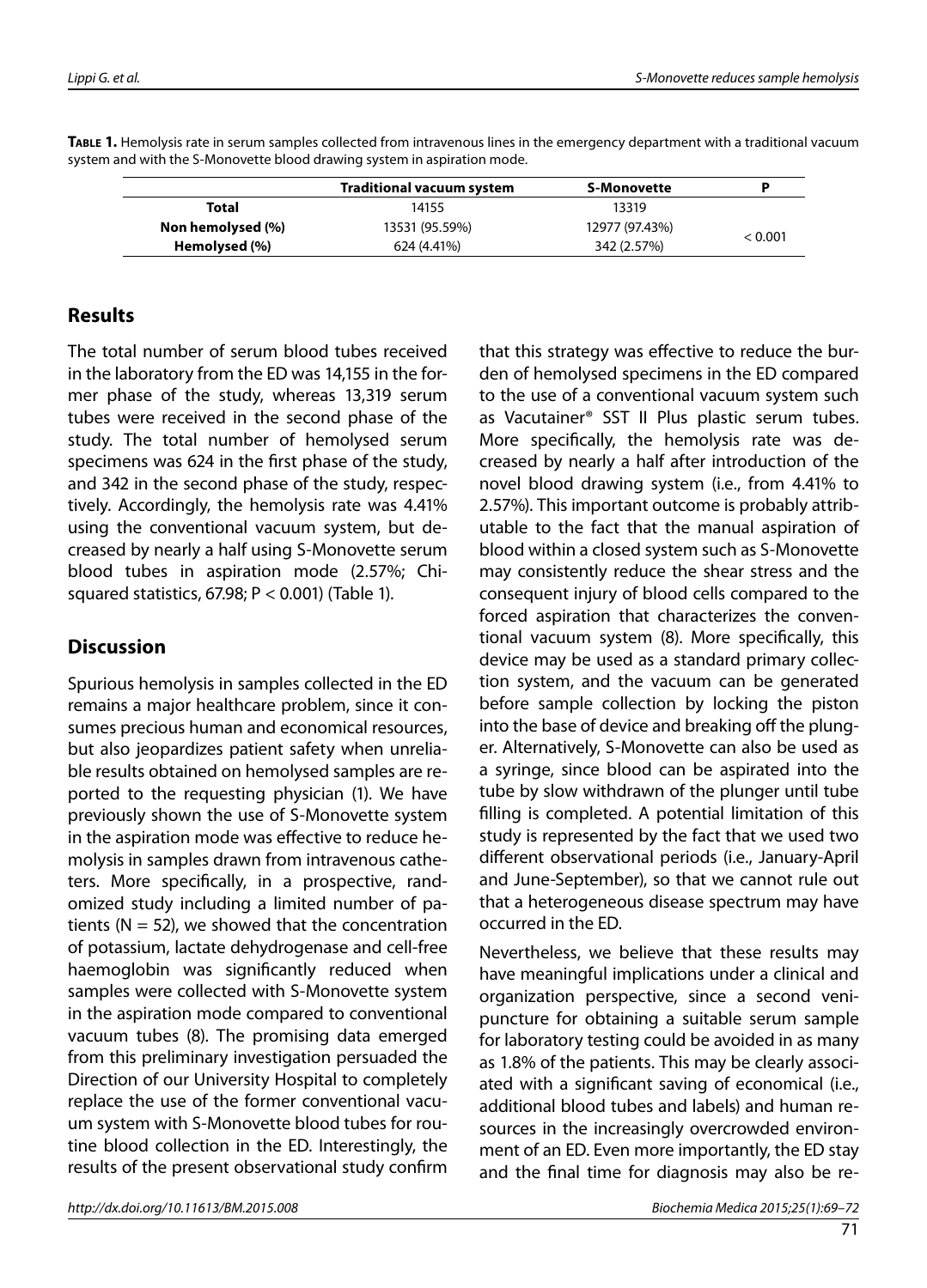|                   | <b>Traditional vacuum system</b> | S-Monovette    |         |
|-------------------|----------------------------------|----------------|---------|
| Total             | 14155                            | 13319          |         |
| Non hemolysed (%) | 13531 (95.59%)                   | 12977 (97.43%) | < 0.001 |
| Hemolysed (%)     | 624 (4.41%)                      | 342 (2.57%)    |         |

**Table 1.** Hemolysis rate in serum samples collected from intravenous lines in the emergency department with a traditional vacuum system and with the S-Monovette blood drawing system in aspiration mode.

#### **Results**

The total number of serum blood tubes received in the laboratory from the ED was 14,155 in the former phase of the study, whereas 13,319 serum tubes were received in the second phase of the study. The total number of hemolysed serum specimens was 624 in the first phase of the study, and 342 in the second phase of the study, respectively. Accordingly, the hemolysis rate was 4.41% using the conventional vacuum system, but decreased by nearly a half using S-Monovette serum blood tubes in aspiration mode (2.57%; Chisquared statistics, 67.98; P < 0.001) (Table 1).

### **Discussion**

Spurious hemolysis in samples collected in the ED remains a major healthcare problem, since it consumes precious human and economical resources, but also jeopardizes patient safety when unreliable results obtained on hemolysed samples are reported to the requesting physician (1). We have previously shown the use of S-Monovette system in the aspiration mode was effective to reduce hemolysis in samples drawn from intravenous catheters. More specifically, in a prospective, randomized study including a limited number of patients ( $N = 52$ ), we showed that the concentration of potassium, lactate dehydrogenase and cell-free haemoglobin was significantly reduced when samples were collected with S-Monovette system in the aspiration mode compared to conventional vacuum tubes (8). The promising data emerged from this preliminary investigation persuaded the Direction of our University Hospital to completely replace the use of the former conventional vacuum system with S-Monovette blood tubes for routine blood collection in the ED. Interestingly, the results of the present observational study confirm

that this strategy was effective to reduce the burden of hemolysed specimens in the ED compared to the use of a conventional vacuum system such as Vacutainer® SST II Plus plastic serum tubes. More specifically, the hemolysis rate was decreased by nearly a half after introduction of the novel blood drawing system (i.e., from 4.41% to 2.57%). This important outcome is probably attributable to the fact that the manual aspiration of blood within a closed system such as S-Monovette may consistently reduce the shear stress and the consequent injury of blood cells compared to the forced aspiration that characterizes the conventional vacuum system (8). More specifically, this device may be used as a standard primary collection system, and the vacuum can be generated before sample collection by locking the piston into the base of device and breaking off the plunger. Alternatively, S-Monovette can also be used as a syringe, since blood can be aspirated into the tube by slow withdrawn of the plunger until tube filling is completed. A potential limitation of this study is represented by the fact that we used two different observational periods (i.e., January-April and June-September), so that we cannot rule out that a heterogeneous disease spectrum may have occurred in the ED.

Nevertheless, we believe that these results may have meaningful implications under a clinical and organization perspective, since a second venipuncture for obtaining a suitable serum sample for laboratory testing could be avoided in as many as 1.8% of the patients. This may be clearly associated with a significant saving of economical (i.e., additional blood tubes and labels) and human resources in the increasingly overcrowded environment of an ED. Even more importantly, the ED stay and the final time for diagnosis may also be re